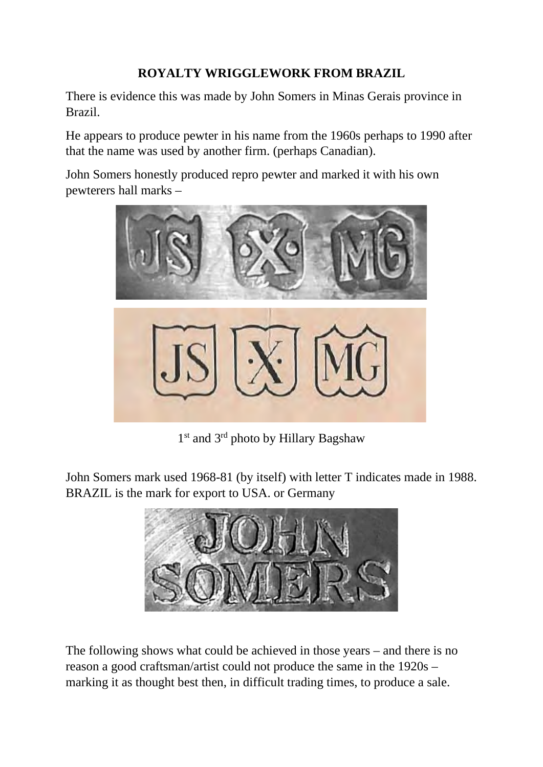## **ROYALTY WRIGGLEWORK FROM BRAZIL**

There is evidence this was made by John Somers in Minas Gerais province in Brazil.

He appears to produce pewter in his name from the 1960s perhaps to 1990 after that the name was used by another firm. (perhaps Canadian).

John Somers honestly produced repro pewter and marked it with his own pewterers hall marks –



1<sup>st</sup> and 3<sup>rd</sup> photo by Hillary Bagshaw

John Somers mark used 1968-81 (by itself) with letter T indicates made in 1988. BRAZIL is the mark for export to USA. or Germany



The following shows what could be achieved in those years – and there is no reason a good craftsman/artist could not produce the same in the 1920s – marking it as thought best then, in difficult trading times, to produce a sale.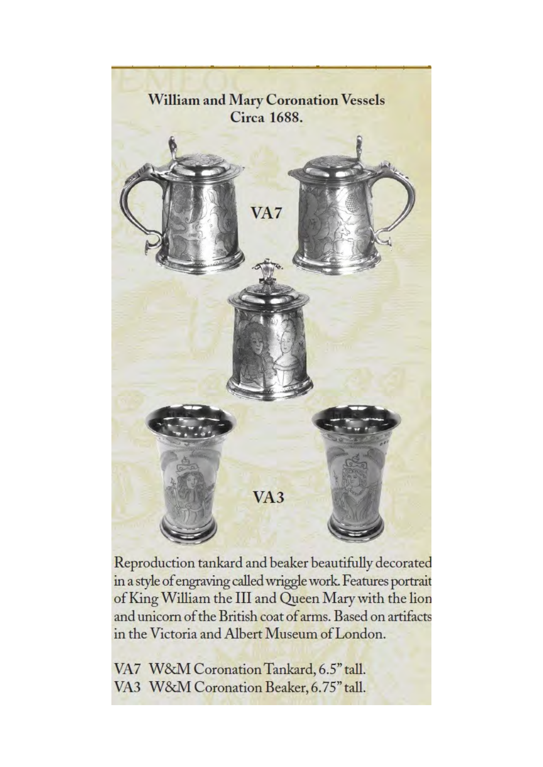

Reproduction tankard and beaker beautifully decorated in a style of engraving called wriggle work. Features portrait of King William the III and Queen Mary with the lion and unicorn of the British coat of arms. Based on artifacts in the Victoria and Albert Museum of London.

VA7 W&M Coronation Tankard, 6.5" tall. VA3 W&M Coronation Beaker, 6.75" tall.